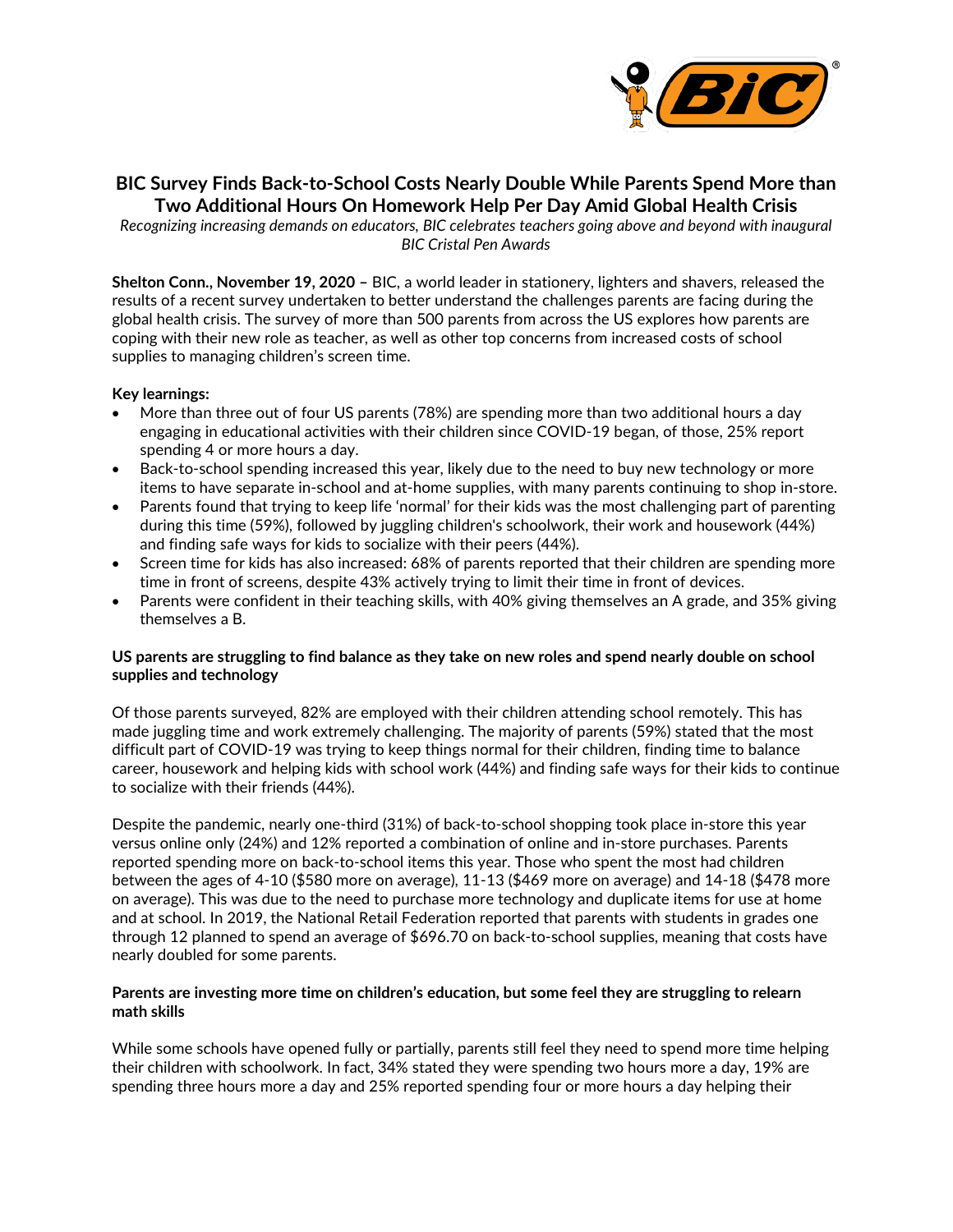

# **BIC Survey Finds Back-to-School Costs Nearly Double While Parents Spend More than Two Additional Hours On Homework Help Per Day Amid Global Health Crisis**

*Recognizing increasing demands on educators, BIC celebrates teachers going above and beyond with inaugural BIC Cristal Pen Awards*

**Shelton Conn., November 19, 2020 –** BIC, a world leader in stationery, lighters and shavers, released the results of a recent survey undertaken to better understand the challenges parents are facing during the global health crisis. The survey of more than 500 parents from across the US explores how parents are coping with their new role as teacher, as well as other top concerns from increased costs of school supplies to managing children's screen time.

## **Key learnings:**

- More than three out of four US parents (78%) are spending more than two additional hours a day engaging in educational activities with their children since COVID-19 began, of those, 25% report spending 4 or more hours a day.
- Back-to-school spending increased this year, likely due to the need to buy new technology or more items to have separate in-school and at-home supplies, with many parents continuing to shop in-store.
- Parents found that trying to keep life 'normal' for their kids was the most challenging part of parenting during this time (59%), followed by juggling children's schoolwork, their work and housework (44%) and finding safe ways for kids to socialize with their peers (44%).
- Screen time for kids has also increased: 68% of parents reported that their children are spending more time in front of screens, despite 43% actively trying to limit their time in front of devices.
- Parents were confident in their teaching skills, with 40% giving themselves an A grade, and 35% giving themselves a B.

## **US parents are struggling to find balance as they take on new roles and spend nearly double on school supplies and technology**

Of those parents surveyed, 82% are employed with their children attending school remotely. This has made juggling time and work extremely challenging. The majority of parents (59%) stated that the most difficult part of COVID-19 was trying to keep things normal for their children, finding time to balance career, housework and helping kids with school work (44%) and finding safe ways for their kids to continue to socialize with their friends (44%).

Despite the pandemic, nearly one-third (31%) of back-to-school shopping took place in-store this year versus online only (24%) and 12% reported a combination of online and in-store purchases. Parents reported spending more on back-to-school items this year. Those who spent the most had children between the ages of 4-10 (\$580 more on average), 11-13 (\$469 more on average) and 14-18 (\$478 more on average). This was due to the need to purchase more technology and duplicate items for use at home and at school. In 2019, the National Retail Federation reported that parents with students in grades one through 12 planned to spend an average of \$696.70 on back-to-school supplies, meaning that costs have nearly doubled for some parents.

## **Parents are investing more time on children's education, but some feel they are struggling to relearn math skills**

While some schools have opened fully or partially, parents still feel they need to spend more time helping their children with schoolwork. In fact, 34% stated they were spending two hours more a day, 19% are spending three hours more a day and 25% reported spending four or more hours a day helping their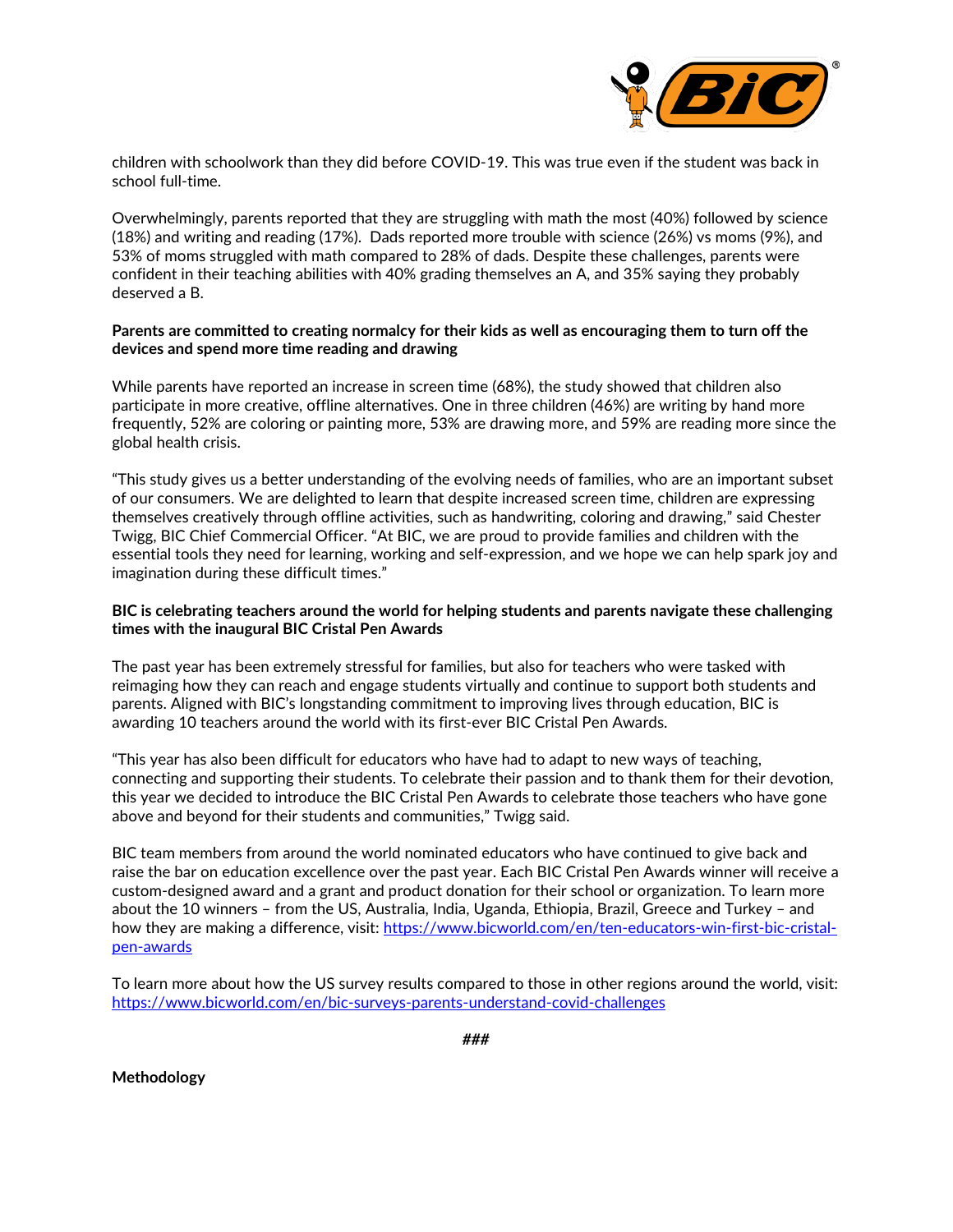

children with schoolwork than they did before COVID-19. This was true even if the student was back in school full-time.

Overwhelmingly, parents reported that they are struggling with math the most (40%) followed by science (18%) and writing and reading (17%). Dads reported more trouble with science (26%) vs moms (9%), and 53% of moms struggled with math compared to 28% of dads. Despite these challenges, parents were confident in their teaching abilities with 40% grading themselves an A, and 35% saying they probably deserved a B.

### **Parents are committed to creating normalcy for their kids as well as encouraging them to turn off the devices and spend more time reading and drawing**

While parents have reported an increase in screen time (68%), the study showed that children also participate in more creative, offline alternatives. One in three children (46%) are writing by hand more frequently, 52% are coloring or painting more, 53% are drawing more, and 59% are reading more since the global health crisis.

"This study gives us a better understanding of the evolving needs of families, who are an important subset of our consumers. We are delighted to learn that despite increased screen time, children are expressing themselves creatively through offline activities, such as handwriting, coloring and drawing," said Chester Twigg, BIC Chief Commercial Officer. "At BIC, we are proud to provide families and children with the essential tools they need for learning, working and self-expression, and we hope we can help spark joy and imagination during these difficult times."

### **BIC is celebrating teachers around the world for helping students and parents navigate these challenging times with the inaugural BIC Cristal Pen Awards**

The past year has been extremely stressful for families, but also for teachers who were tasked with reimaging how they can reach and engage students virtually and continue to support both students and parents. Aligned with BIC's longstanding commitment to improving lives through education, BIC is awarding 10 teachers around the world with its first-ever BIC Cristal Pen Awards.

"This year has also been difficult for educators who have had to adapt to new ways of teaching, connecting and supporting their students. To celebrate their passion and to thank them for their devotion, this year we decided to introduce the BIC Cristal Pen Awards to celebrate those teachers who have gone above and beyond for their students and communities," Twigg said.

BIC team members from around the world nominated educators who have continued to give back and raise the bar on education excellence over the past year. Each BIC Cristal Pen Awards winner will receive a custom-designed award and a grant and product donation for their school or organization. To learn more about the 10 winners – from the US, Australia, India, Uganda, Ethiopia, Brazil, Greece and Turkey – and how they are making a difference, visit: [https://www.bicworld.com/en/ten-educators-win-first-bic-cristal](https://www.bicworld.com/en/ten-educators-win-first-bic-cristal-pen-awards)[pen-awards](https://www.bicworld.com/en/ten-educators-win-first-bic-cristal-pen-awards)

To learn more about how the US survey results compared to those in other regions around the world, visit: <https://www.bicworld.com/en/bic-surveys-parents-understand-covid-challenges>

**Methodology**